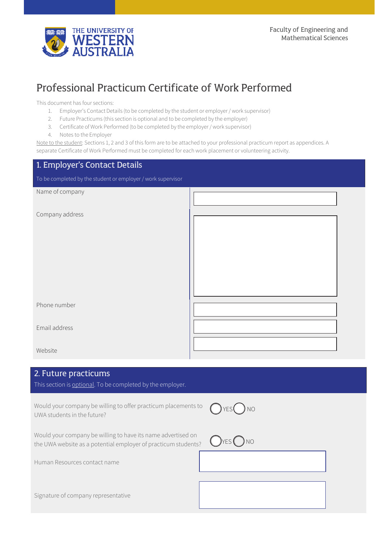

# Professional Practicum Certificate of Work Performed

This document has four sections:

- 1. Employer's Contact Details (to be completed by the student or employer / work supervisor)
- 2. Future Practicums (this section is optional and to be completed by the employer)
- 3. Certificate of Work Performed (to be completed by the employer / work supervisor)
- 4. Notes to the Employer

Note to the student: Sections 1, 2 and 3 of this form are to be attached to your professional practicum report as appendices. A separate Certificate of Work Performed must be completed for each work placement or volunteering activity.

| 1. Employer's Contact Details                                |  |
|--------------------------------------------------------------|--|
| To be completed by the student or employer / work supervisor |  |
| Name of company                                              |  |
| Company address                                              |  |
| Phone number                                                 |  |
| Email address                                                |  |
| Website                                                      |  |

## 2. Future practicums

This section is optional. To be completed by the employer.

Would your company be willing to offer practicum placements to UWA students in the future?



Would your company be willing to have its name advertised on the UWA website as a potential employer of practicum students?  $\bigcirc$ YES  $\bigcirc$  NO

Human Resources contact name

Signature of company representative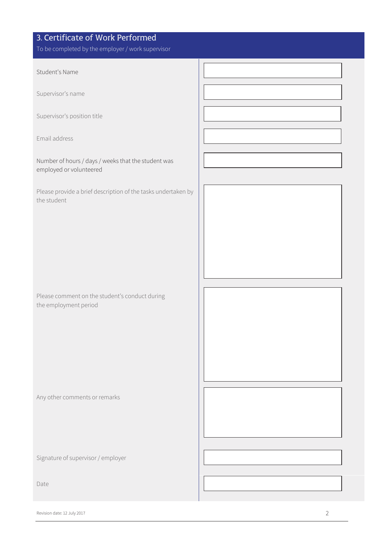| 3. Certificate of Work Performed<br>To be completed by the employer / work supervisor |  |
|---------------------------------------------------------------------------------------|--|
| Student's Name                                                                        |  |
| Supervisor's name                                                                     |  |
| Supervisor's position title                                                           |  |
| Email address                                                                         |  |
| Number of hours / days / weeks that the student was<br>employed or volunteered        |  |
| Please provide a brief description of the tasks undertaken by<br>the student          |  |
|                                                                                       |  |
|                                                                                       |  |
| Please comment on the student's conduct during<br>the employment period               |  |
|                                                                                       |  |
| Any other comments or remarks                                                         |  |
| Signature of supervisor / employer                                                    |  |
|                                                                                       |  |
| Date                                                                                  |  |